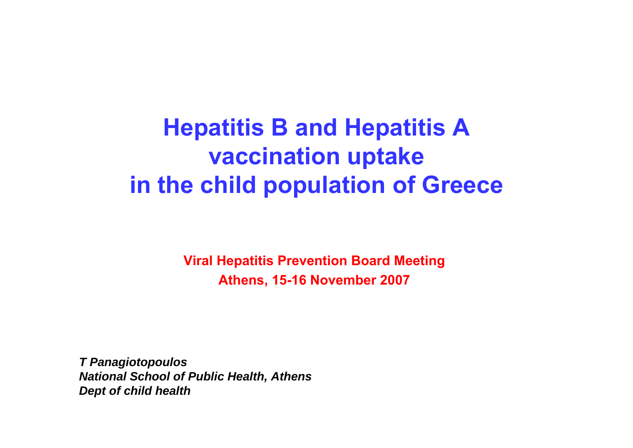## **Hepatitis B and Hepatitis A vaccination uptake in the child population of Greece**

**Viral Hepatitis Prevention Board Meeting Athens, 15-16 November 2007**

*T Panagiotopoulos National School of Public Health, Athens Dept of child health*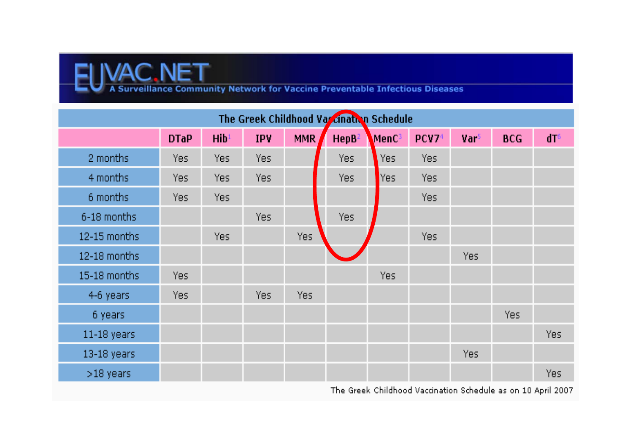

| The Greek Childhood Varcination Schedule |             |                  |            |            |                   |      |      |      |            |                 |
|------------------------------------------|-------------|------------------|------------|------------|-------------------|------|------|------|------------|-----------------|
|                                          | <b>DTaP</b> | Hib <sup>1</sup> | <b>IPV</b> | <b>MMR</b> | HepB <sup>2</sup> | MenC | PCV7 | Var5 | <b>BCG</b> | dT <sub>6</sub> |
| 2 months                                 | Yes         | Yes              | Yes        |            | Yes               | Yes  | Yes  |      |            |                 |
| 4 months                                 | Yes.        | Yes              | Yes.       |            | Yes.              | Yes  | Yes. |      |            |                 |
| 6 months                                 | Yes.        | Yes.             |            |            |                   |      | Yes. |      |            |                 |
| 6-18 months                              |             |                  | Yes        |            | Yes               |      |      |      |            |                 |
| 12-15 months                             |             | Yes.             |            | Yes        |                   |      | Yes. |      |            |                 |
| 12-18 months                             |             |                  |            |            |                   |      |      | Yes. |            |                 |
| 15-18 months                             | Yes         |                  |            |            |                   | Yes  |      |      |            |                 |
| 4-6 years                                | Yes         |                  | Yes        | Yes        |                   |      |      |      |            |                 |
| 6 years                                  |             |                  |            |            |                   |      |      |      | Yes        |                 |
| $11-18$ years                            |             |                  |            |            |                   |      |      |      |            | Yes             |
| 13-18 years                              |             |                  |            |            |                   |      |      | Yes. |            |                 |
| $>18$ years                              |             |                  |            |            |                   |      |      |      |            | Yes             |

The Greek Childhood Vaccination Schedule as on 10 April 2007.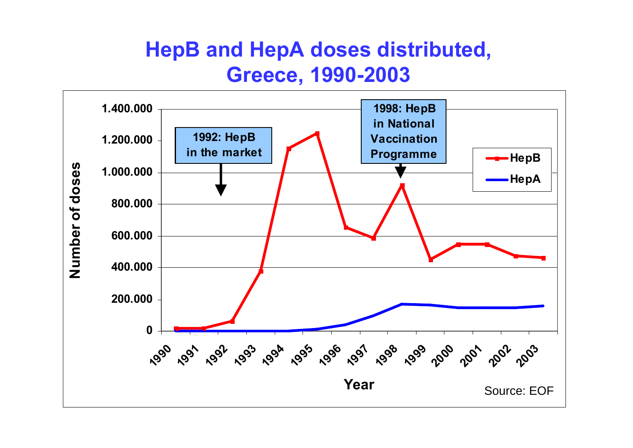#### **HepB and HepA doses distributed, Greece, 1990-2003**

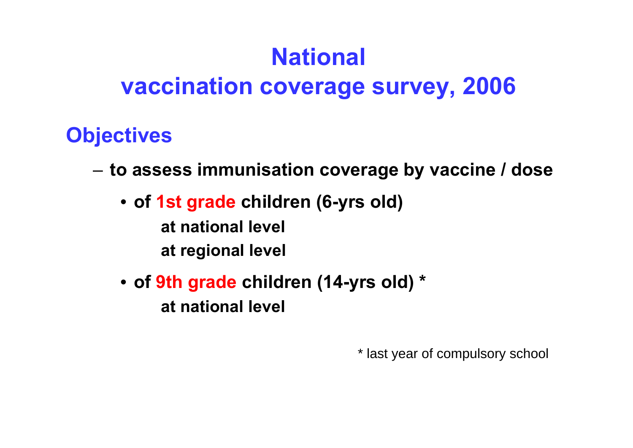# **National**

#### **vaccination coverage survey, 2006**

#### **Objectives**

- **to assess immunisation coverage by vaccine / dose**
	- **of 1st grade children (6-yrs old) at national levelat regional level**
	- **of 9th grade children (14-yrs old) \* at national level**

\* last year of compulsory school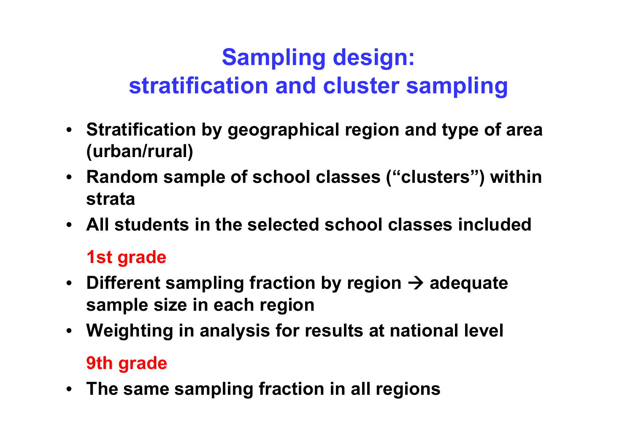# **Sampling design: stratification and cluster sampling**

- **Stratification by geographical region and type of area (urban/rural)**
- **Random sample of school classes ("clusters") within strata**
- **All students in the selected school classes included**

#### **1st grade**

- Different sampling fraction by region  $\rightarrow$  adequate **sample size in each region**
- **Weighting in analysis for results at national level 9th grade**
- **The same sampling fraction in all regions**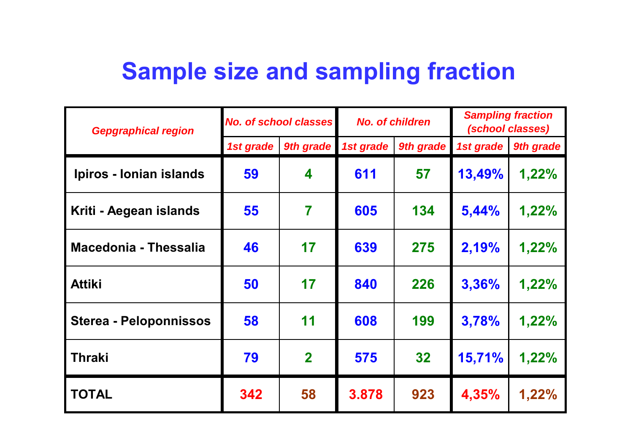## **Sample size and sampling fraction**

| <b>Gepgraphical region</b>   | <b>No. of school classes</b> |              | <b>No. of children</b> |           | <b>Sampling fraction</b><br>(school classes) |           |
|------------------------------|------------------------------|--------------|------------------------|-----------|----------------------------------------------|-----------|
|                              | 1st grade                    | 9th grade    | 1st grade              | 9th grade | 1st grade                                    | 9th grade |
| Ipiros - Ionian islands      | 59                           | 4            | 611                    | 57        | 13,49%                                       | 1,22%     |
| Kriti - Aegean islands       | 55                           | 7            | 605                    | 134       | 5,44%                                        | 1,22%     |
| <b>Macedonia - Thessalia</b> | 46                           | 17           | 639                    | 275       | 2,19%                                        | 1,22%     |
| <b>Attiki</b>                | 50                           | 17           | 840                    | 226       | 3,36%                                        | 1,22%     |
| Sterea - Peloponnissos       | 58                           | 11           | 608                    | 199       | 3,78%                                        | 1,22%     |
| <b>Thraki</b>                | 79                           | $\mathbf{2}$ | 575                    | 32        | 15,71%                                       | 1,22%     |
| <b>TOTAL</b>                 | 342                          | 58           | 3.878                  | 923       | 4,35%                                        | 1,22%     |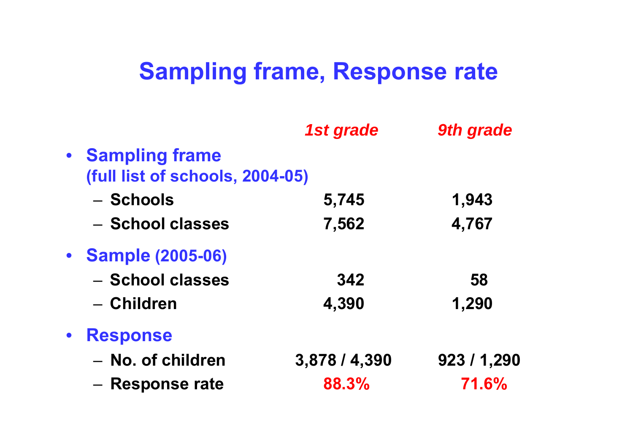### **Sampling frame, Response rate**

|           |                                 | 1st grade     | 9th grade |  |
|-----------|---------------------------------|---------------|-----------|--|
|           | • Sampling frame                |               |           |  |
|           | (full list of schools, 2004-05) |               |           |  |
|           | – Schools                       | 5,745         | 1,943     |  |
|           | - School classes                | 7,562         | 4,767     |  |
|           | • Sample (2005-06)              |               |           |  |
|           | - School classes                | 342           | 58        |  |
|           | - Children                      | 4,390         | 1,290     |  |
| $\bullet$ | <b>Response</b>                 |               |           |  |
|           | - No. of children               | 3,878 / 4,390 | 923/1,290 |  |
|           | - Response rate                 | 88.3%         | 71.6%     |  |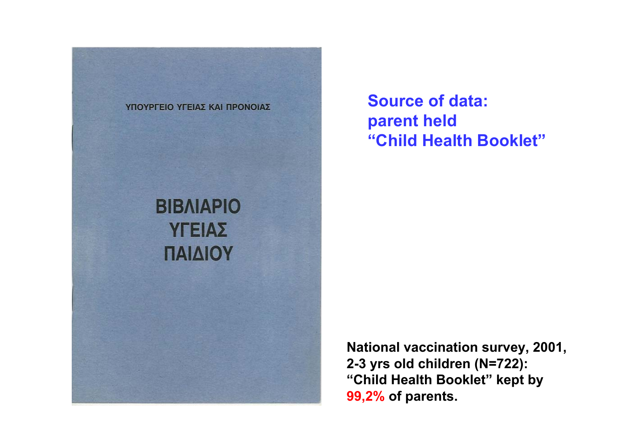

**Source of data: parent held "Child Health Booklet"**

**National vaccination survey, 2001, 2-3 yrs old children (N=722): "Child Health Booklet" kept by 99,2% of parents.**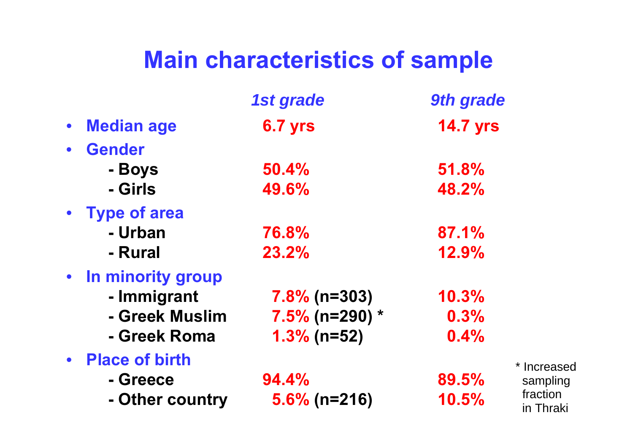# **Main characteristics of sample**

|           |                       | 1st grade           | <b>9th grade</b> |
|-----------|-----------------------|---------------------|------------------|
| $\bullet$ | <b>Median age</b>     | <b>6.7 yrs</b>      | <b>14.7 yrs</b>  |
|           | <b>Gender</b>         |                     |                  |
|           | - Boys                | 50.4%               | 51.8%            |
|           | - Girls               | 49.6%               | 48.2%            |
|           | • Type of area        |                     |                  |
|           | - Urban               | 76.8%               | 87.1%            |
|           | - Rural               | 23.2%               | 12.9%            |
|           | • In minority group   |                     |                  |
|           | - Immigrant           | $7.8\%$ (n=303)     | 10.3%            |
|           | - Greek Muslim        | $7.5\%$ (n=290) $*$ | 0.3%             |
|           | - Greek Roma          | $1.3\%$ (n=52)      | 0.4%             |
|           | <b>Place of birth</b> |                     |                  |
|           | - Greece              | 94.4%               | 89.5%            |
|           | - Other country       | $5.6\%$ (n=216)     | 10.5%            |

\* Increased sampling fraction in Thraki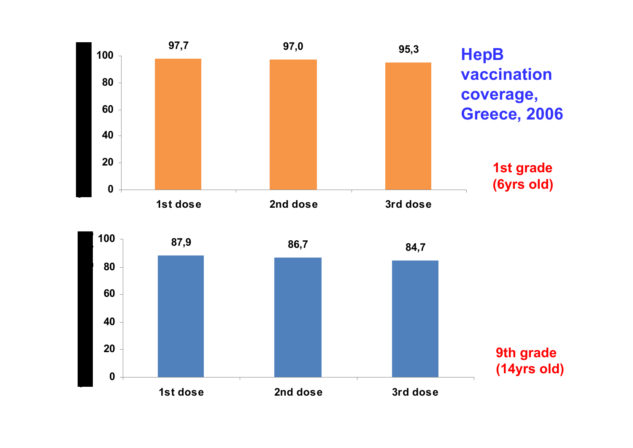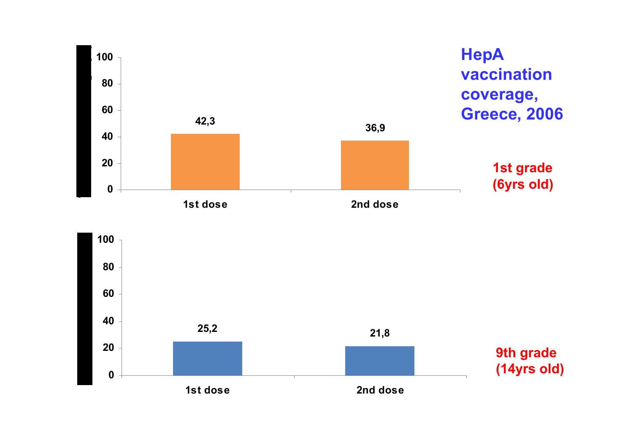

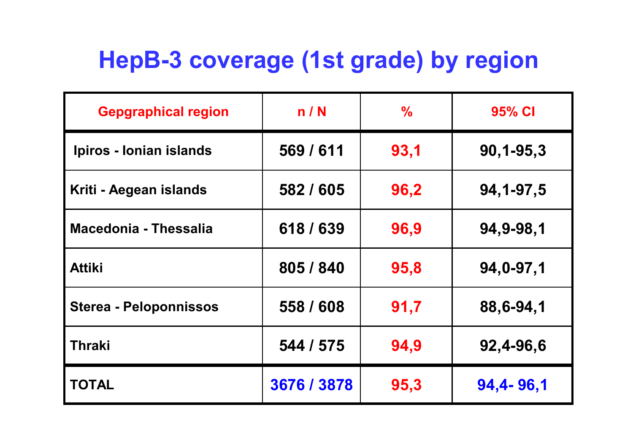# **HepB-3 coverage (1st grade) by region**

| <b>Gepgraphical region</b>    | n/N         | $\frac{0}{0}$ | 95% CI          |
|-------------------------------|-------------|---------------|-----------------|
| Ipiros - Ionian islands       | 569 / 611   | 93,1          | $90, 1 - 95, 3$ |
| Kriti - Aegean islands        | 582 / 605   | 96,2          | 94, 1-97, 5     |
| <b>Macedonia - Thessalia</b>  | 618 / 639   | 96,9          | 94,9-98,1       |
| <b>Attiki</b>                 | 805 / 840   | 95,8          | 94,0-97,1       |
| <b>Sterea - Peloponnissos</b> | 558 / 608   | 91,7          | 88,6-94,1       |
| <b>Thraki</b>                 | 544 / 575   | 94,9          | 92,4-96,6       |
| <b>TOTAL</b>                  | 3676 / 3878 | 95,3          | 94,4-96,1       |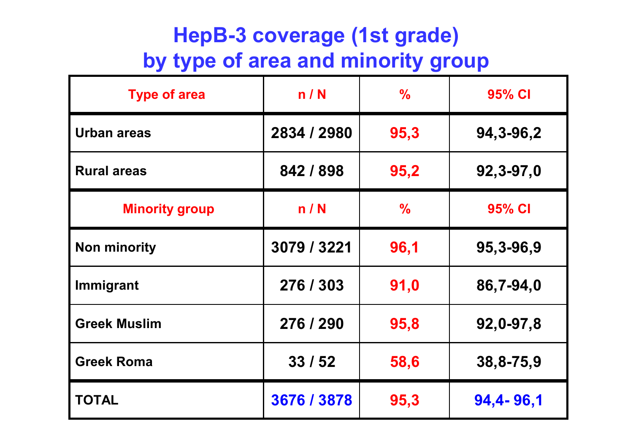#### **HepB-3 coverage (1st grade) by type of area and minority group**

| <b>Type of area</b>   | n/N         | $\frac{1}{2}$ | 95% CI      |  |
|-----------------------|-------------|---------------|-------------|--|
| <b>Urban areas</b>    | 2834 / 2980 | 95,3          | 94, 3-96, 2 |  |
| <b>Rural areas</b>    | 842 / 898   | 95,2          | 92,3-97,0   |  |
| <b>Minority group</b> | n/N         | $\frac{0}{0}$ | 95% CI      |  |
| <b>Non minority</b>   | 3079 / 3221 | 96,1          | 95,3-96,9   |  |
| Immigrant             | 276 / 303   | 91,0          | 86,7-94,0   |  |
| <b>Greek Muslim</b>   | 276 / 290   | 95,8          | 92,0-97,8   |  |
| <b>Greek Roma</b>     | 33/52       | 58,6          | 38,8-75,9   |  |
| <b>TOTAL</b>          | 3676 / 3878 | 95,3          | 94,4-96,1   |  |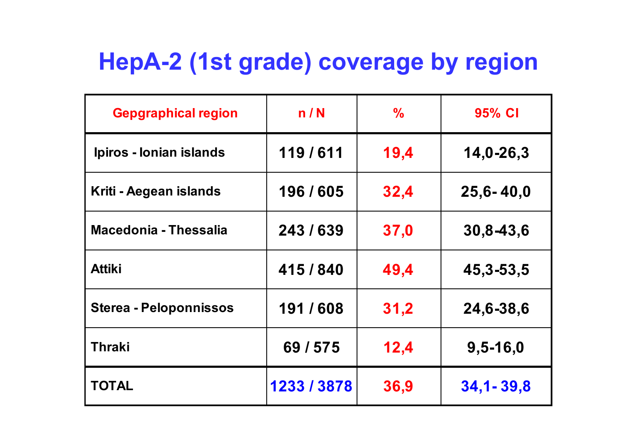# **HepA-2 (1st grade) coverage by region**

| <b>Gepgraphical region</b>    | n/N         | $\frac{0}{0}$ | 95% CI        |
|-------------------------------|-------------|---------------|---------------|
| Ipiros - Ionian islands       | 119/611     | 19,4          | 14,0-26,3     |
| Kriti - Aegean islands        | 196/605     | 32,4          | $25,6 - 40,0$ |
| <b>Macedonia - Thessalia</b>  | 243/639     | 37,0          | 30,8-43,6     |
| <b>Attiki</b>                 | 415/840     | 49,4          | 45, 3-53, 5   |
| <b>Sterea - Peloponnissos</b> | 191/608     | 31,2          | 24,6-38,6     |
| <b>Thraki</b>                 | 69 / 575    | 12,4          | $9,5 - 16,0$  |
| <b>TOTAL</b>                  | 1233 / 3878 | 36,9          | $34,1 - 39,8$ |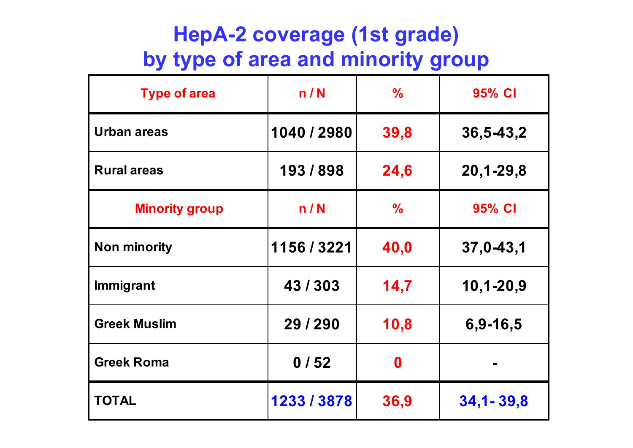#### **HepA-2 coverage (1st grade) by type of area and minority group**

| <b>Type of area</b>   | n/N         | $\frac{0}{0}$ | 95% CI          |  |
|-----------------------|-------------|---------------|-----------------|--|
| <b>Urban areas</b>    | 1040 / 2980 | 39,8          | 36,5-43,2       |  |
| <b>Rural areas</b>    | 193/898     | 24,6          | $20,1 - 29,8$   |  |
| <b>Minority group</b> | n/N         | $\frac{0}{0}$ | 95% CI          |  |
| <b>Non minority</b>   | 1156 / 3221 | 40,0          | $37,0 - 43,1$   |  |
| <b>Immigrant</b>      | 43/303      | 14,7          | $10, 1 - 20, 9$ |  |
| <b>Greek Muslim</b>   | 29 / 290    | 10,8          | $6,9-16,5$      |  |
| <b>Greek Roma</b>     | 0/52        | 0             |                 |  |
| <b>TOTAL</b>          | 1233 / 3878 | 36,9          | $34,1 - 39,8$   |  |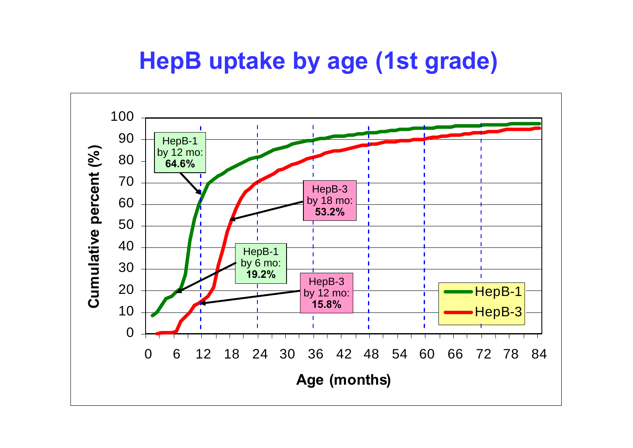### **HepB uptake by age (1st grade)**

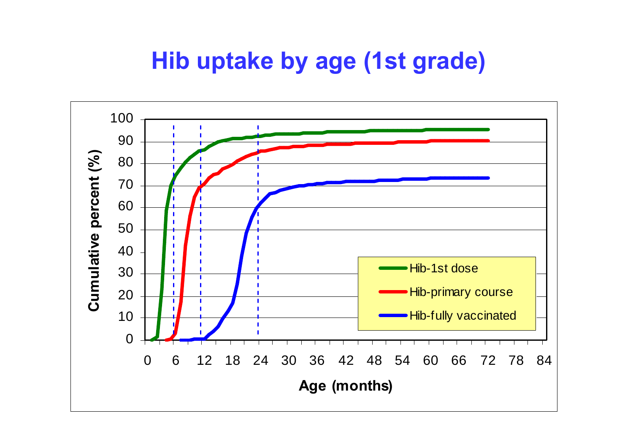#### **Hib uptake by age (1st grade)**

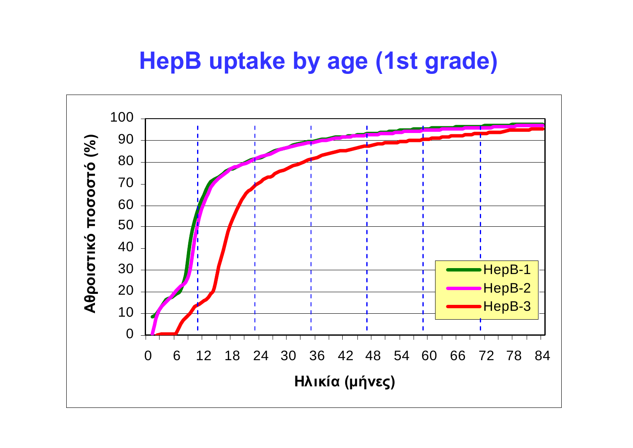### **HepB uptake by age (1st grade)**

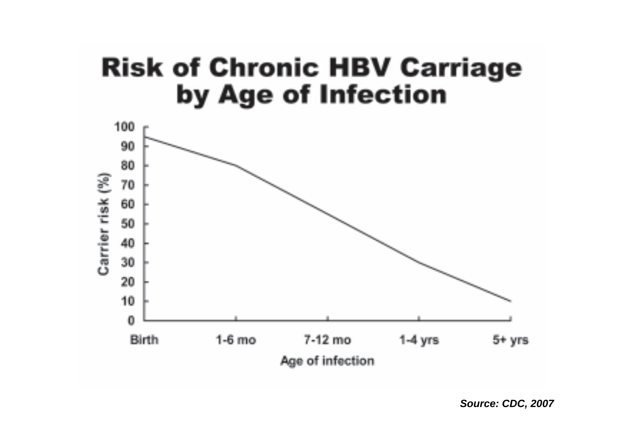## **Risk of Chronic HBV Carriage** by Age of Infection



*Source: CDC, 2007*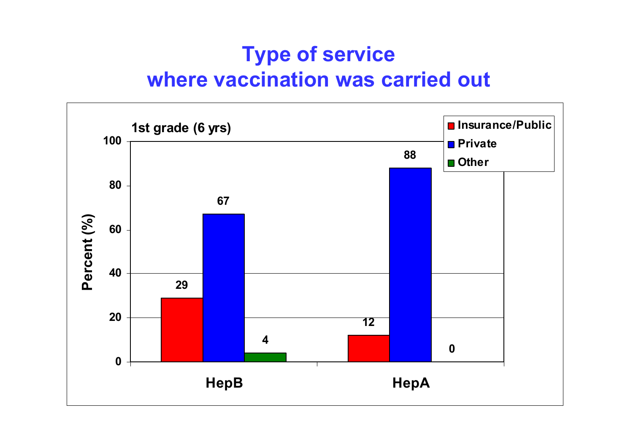#### **Type of service where vaccination was carried out**